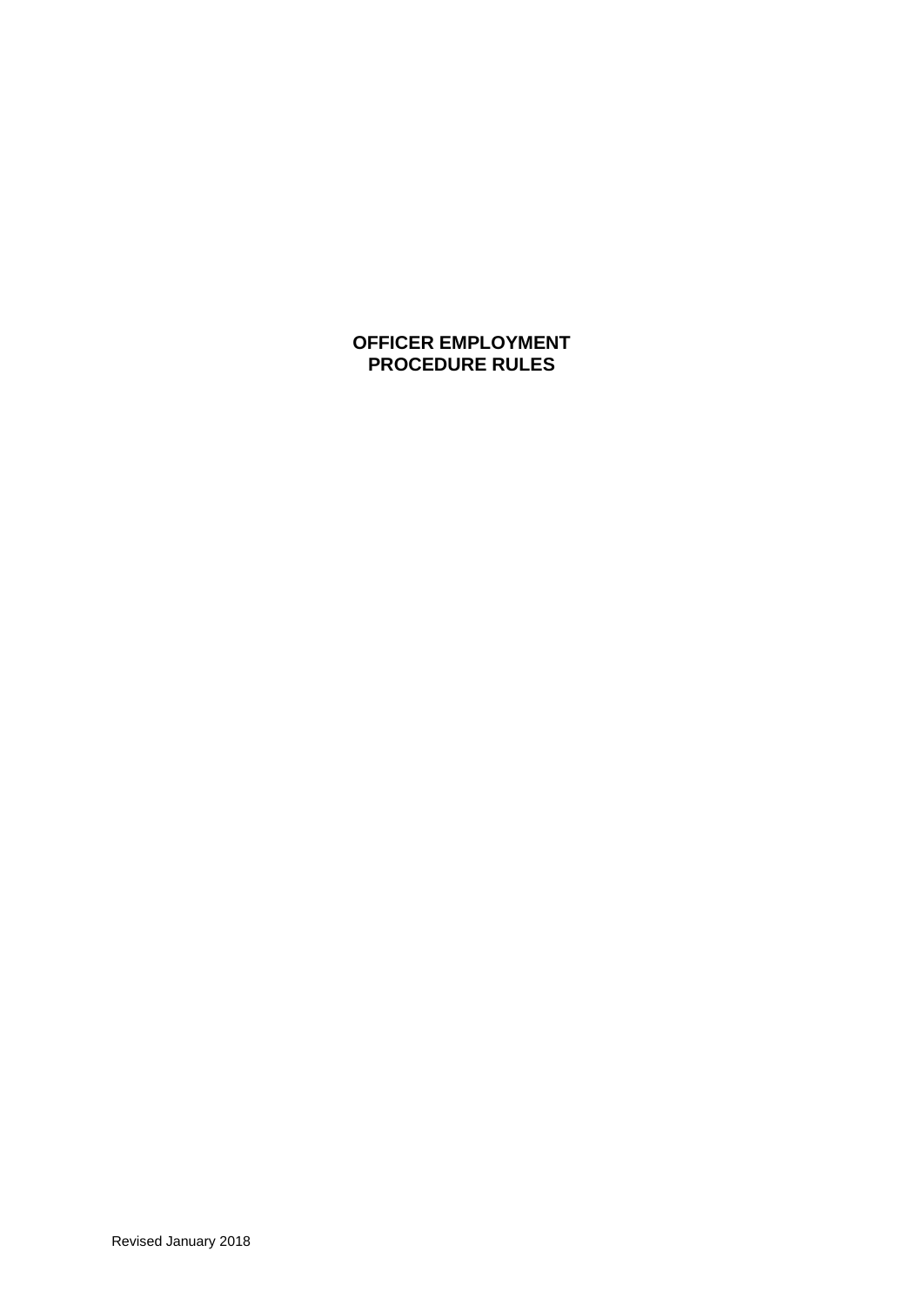# **OFFICER EMPLOYMENT PROCEDURE RULES**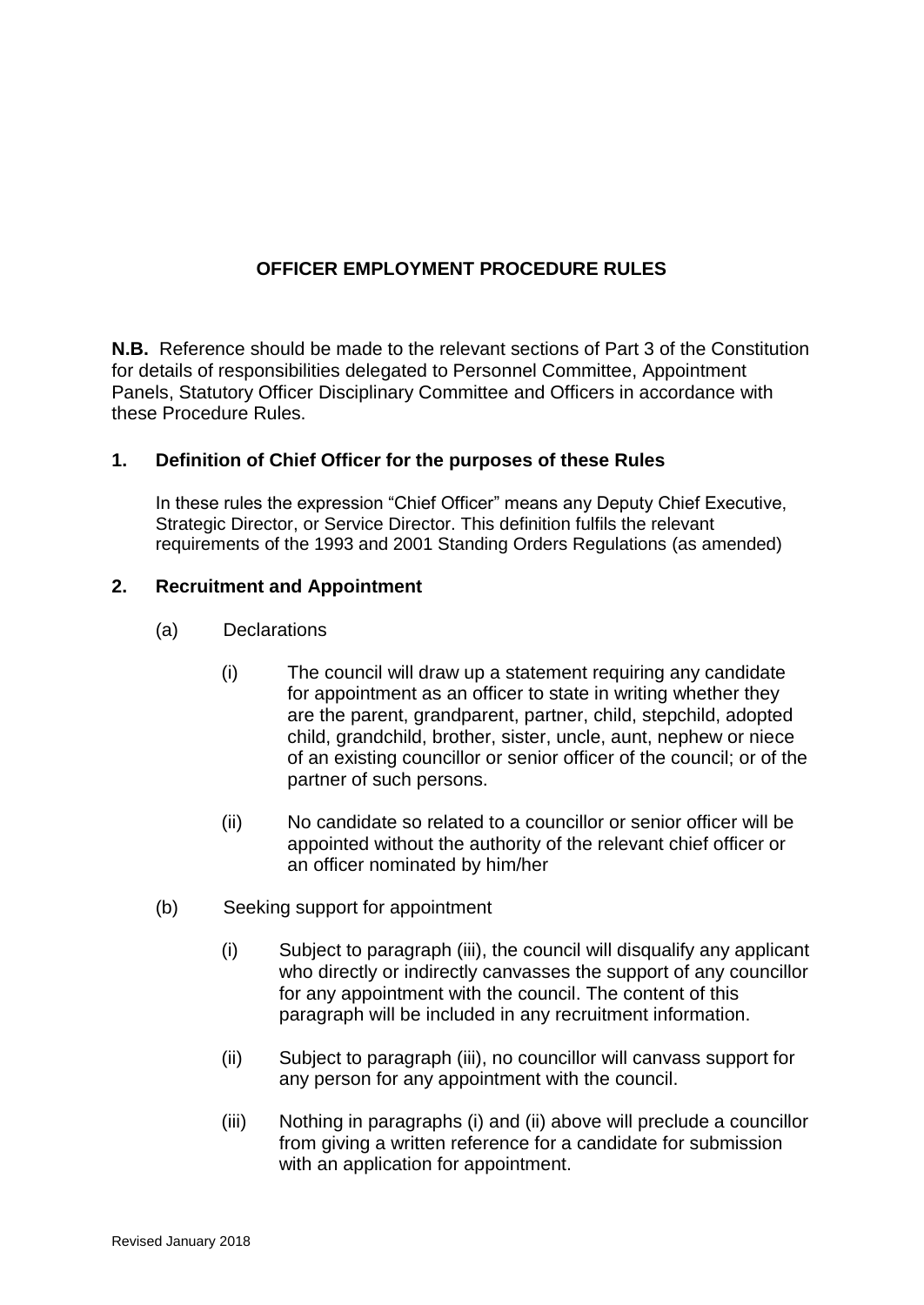# **OFFICER EMPLOYMENT PROCEDURE RULES**

**N.B.** Reference should be made to the relevant sections of Part 3 of the Constitution for details of responsibilities delegated to Personnel Committee, Appointment Panels, Statutory Officer Disciplinary Committee and Officers in accordance with these Procedure Rules.

## **1. Definition of Chief Officer for the purposes of these Rules**

In these rules the expression "Chief Officer" means any Deputy Chief Executive, Strategic Director, or Service Director. This definition fulfils the relevant requirements of the 1993 and 2001 Standing Orders Regulations (as amended)

## **2. Recruitment and Appointment**

- (a) Declarations
	- (i) The council will draw up a statement requiring any candidate for appointment as an officer to state in writing whether they are the parent, grandparent, partner, child, stepchild, adopted child, grandchild, brother, sister, uncle, aunt, nephew or niece of an existing councillor or senior officer of the council; or of the partner of such persons.
	- (ii) No candidate so related to a councillor or senior officer will be appointed without the authority of the relevant chief officer or an officer nominated by him/her
- (b) Seeking support for appointment
	- (i) Subject to paragraph (iii), the council will disqualify any applicant who directly or indirectly canvasses the support of any councillor for any appointment with the council. The content of this paragraph will be included in any recruitment information.
	- (ii) Subject to paragraph (iii), no councillor will canvass support for any person for any appointment with the council.
	- (iii) Nothing in paragraphs (i) and (ii) above will preclude a councillor from giving a written reference for a candidate for submission with an application for appointment.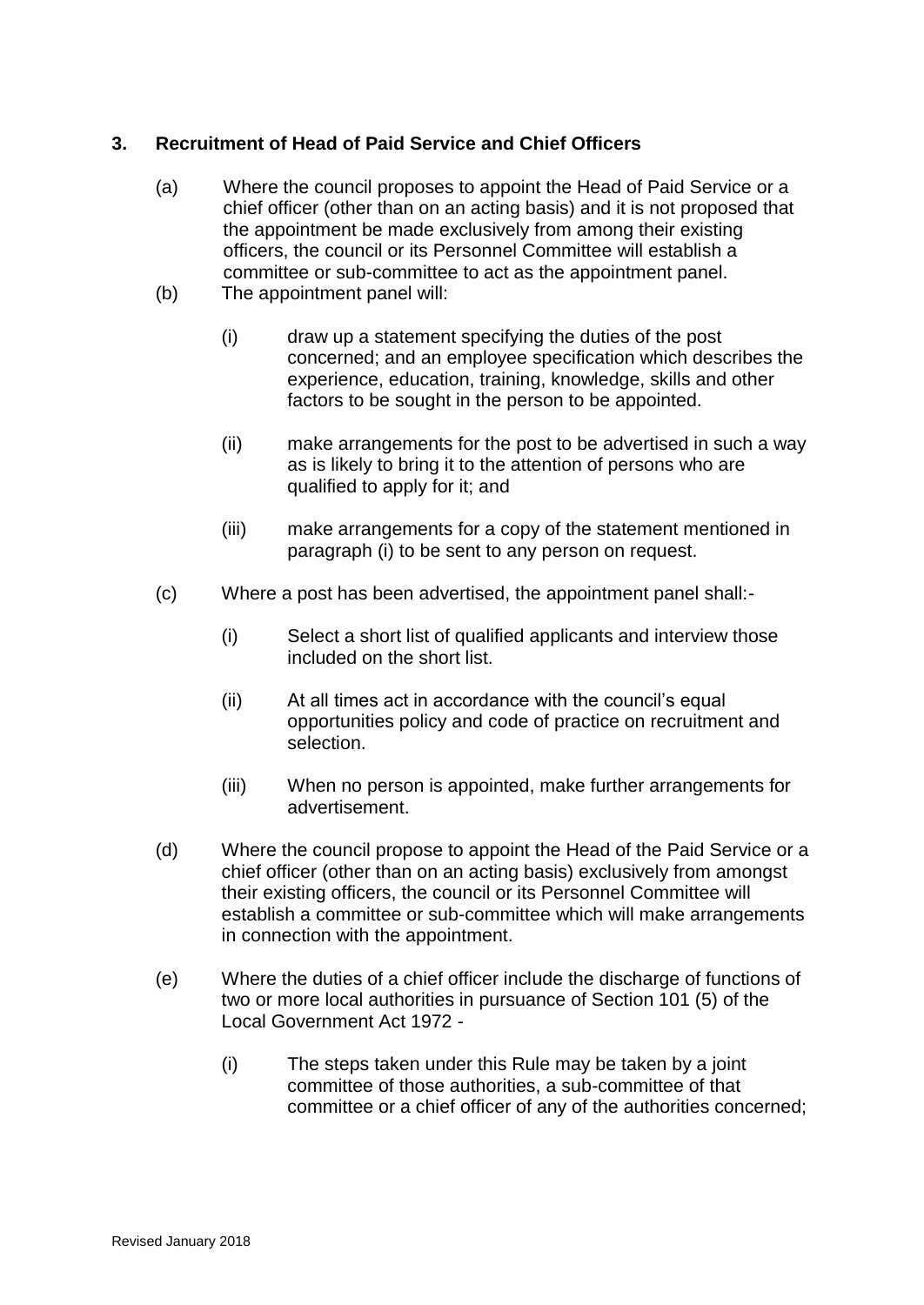# **3. Recruitment of Head of Paid Service and Chief Officers**

- (a) Where the council proposes to appoint the Head of Paid Service or a chief officer (other than on an acting basis) and it is not proposed that the appointment be made exclusively from among their existing officers, the council or its Personnel Committee will establish a committee or sub-committee to act as the appointment panel.
- (b) The appointment panel will:
	- (i) draw up a statement specifying the duties of the post concerned; and an employee specification which describes the experience, education, training, knowledge, skills and other factors to be sought in the person to be appointed.
	- (ii) make arrangements for the post to be advertised in such a way as is likely to bring it to the attention of persons who are qualified to apply for it; and
	- (iii) make arrangements for a copy of the statement mentioned in paragraph (i) to be sent to any person on request.
- (c) Where a post has been advertised, the appointment panel shall:-
	- (i) Select a short list of qualified applicants and interview those included on the short list.
	- (ii) At all times act in accordance with the council's equal opportunities policy and code of practice on recruitment and selection.
	- (iii) When no person is appointed, make further arrangements for advertisement.
- (d) Where the council propose to appoint the Head of the Paid Service or a chief officer (other than on an acting basis) exclusively from amongst their existing officers, the council or its Personnel Committee will establish a committee or sub-committee which will make arrangements in connection with the appointment.
- (e) Where the duties of a chief officer include the discharge of functions of two or more local authorities in pursuance of Section 101 (5) of the Local Government Act 1972 -
	- (i) The steps taken under this Rule may be taken by a joint committee of those authorities, a sub-committee of that committee or a chief officer of any of the authorities concerned;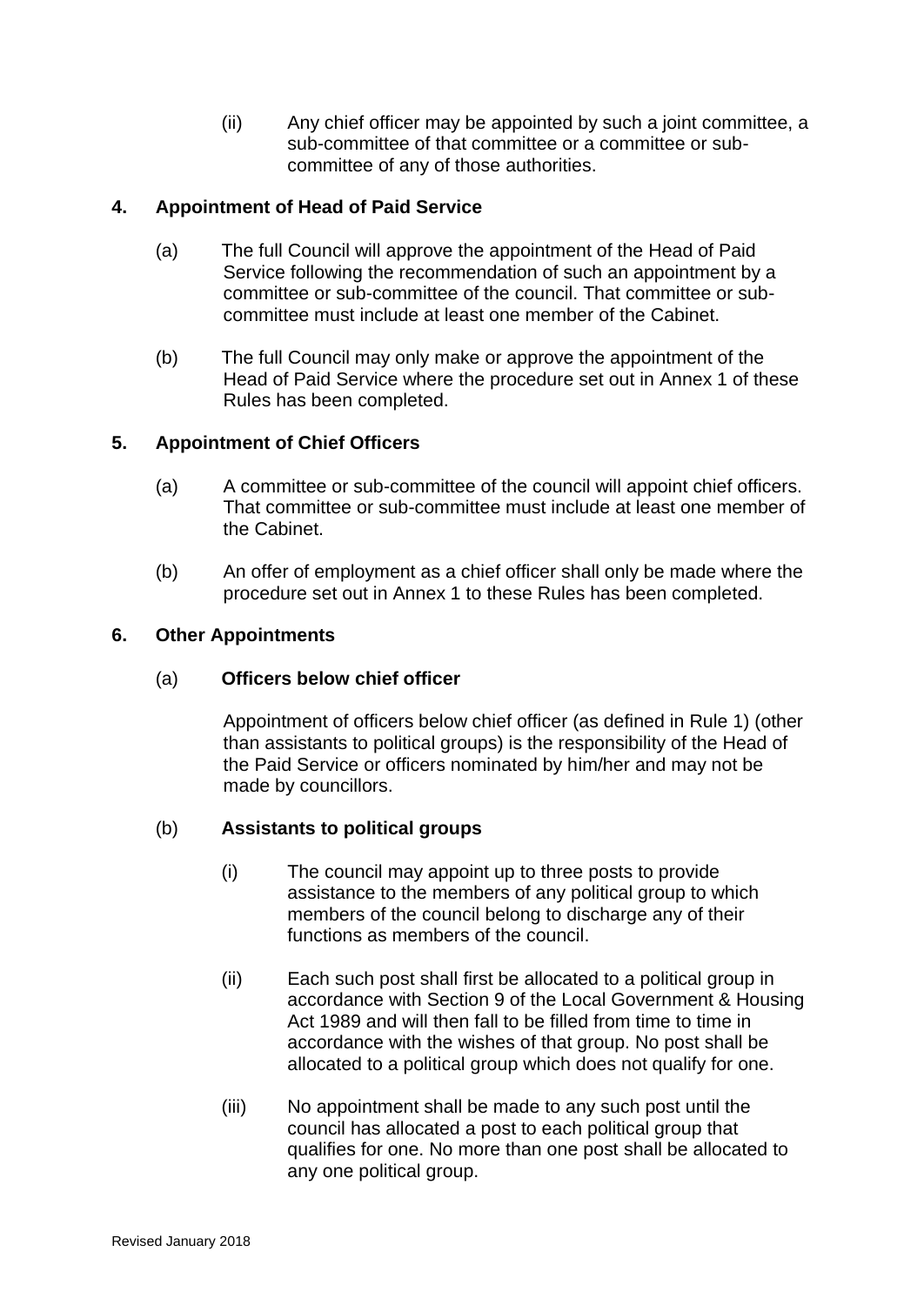(ii) Any chief officer may be appointed by such a joint committee, a sub-committee of that committee or a committee or subcommittee of any of those authorities.

# **4. Appointment of Head of Paid Service**

- (a) The full Council will approve the appointment of the Head of Paid Service following the recommendation of such an appointment by a committee or sub-committee of the council. That committee or subcommittee must include at least one member of the Cabinet.
- (b) The full Council may only make or approve the appointment of the Head of Paid Service where the procedure set out in Annex 1 of these Rules has been completed.

## **5. Appointment of Chief Officers**

- (a) A committee or sub-committee of the council will appoint chief officers. That committee or sub-committee must include at least one member of the Cabinet.
- (b) An offer of employment as a chief officer shall only be made where the procedure set out in Annex 1 to these Rules has been completed.

### **6. Other Appointments**

## (a) **Officers below chief officer**

Appointment of officers below chief officer (as defined in Rule 1) (other than assistants to political groups) is the responsibility of the Head of the Paid Service or officers nominated by him/her and may not be made by councillors.

## (b) **Assistants to political groups**

- (i) The council may appoint up to three posts to provide assistance to the members of any political group to which members of the council belong to discharge any of their functions as members of the council.
- (ii) Each such post shall first be allocated to a political group in accordance with Section 9 of the Local Government & Housing Act 1989 and will then fall to be filled from time to time in accordance with the wishes of that group. No post shall be allocated to a political group which does not qualify for one.
- (iii) No appointment shall be made to any such post until the council has allocated a post to each political group that qualifies for one. No more than one post shall be allocated to any one political group.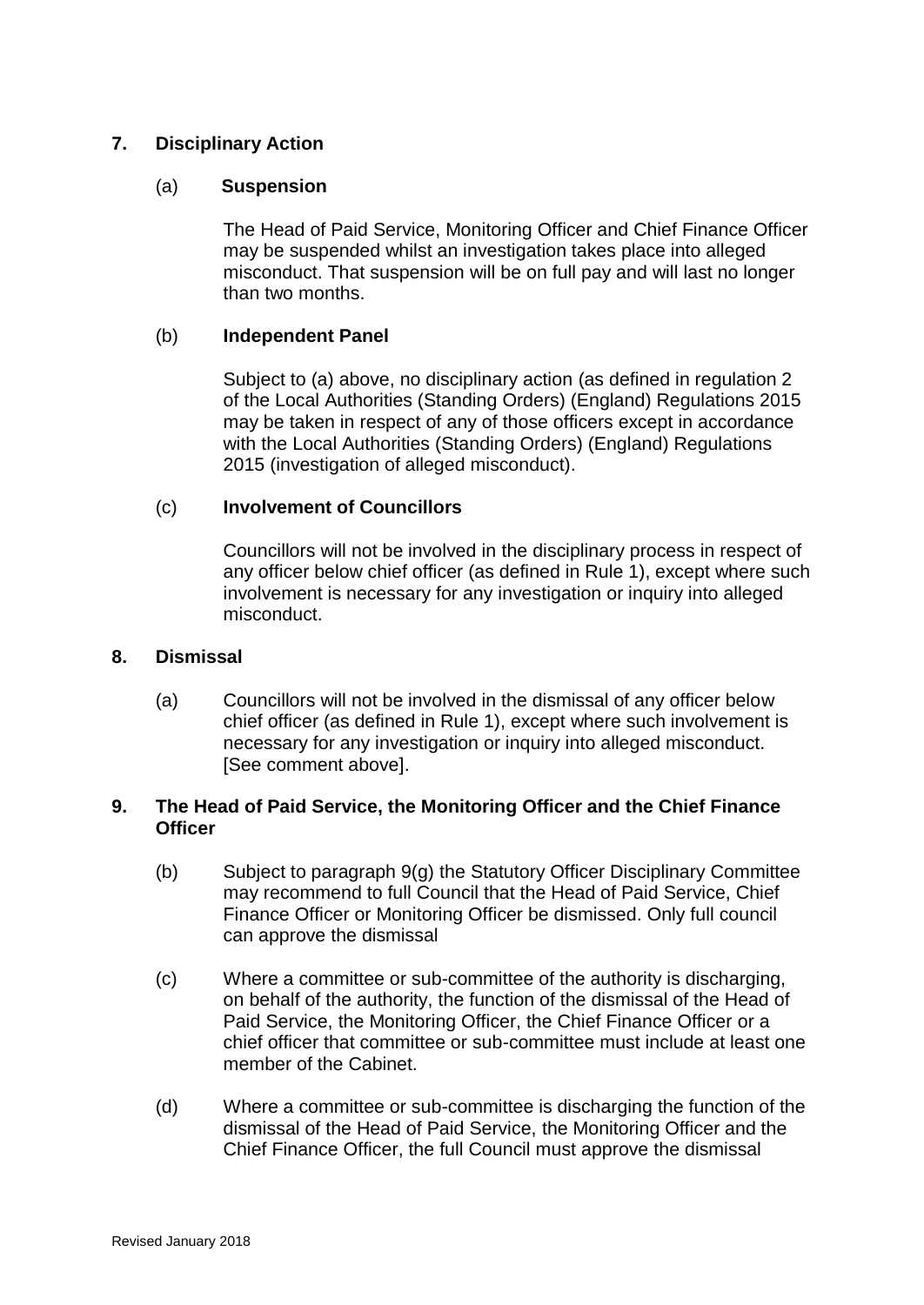## **7. Disciplinary Action**

## (a) **Suspension**

The Head of Paid Service, Monitoring Officer and Chief Finance Officer may be suspended whilst an investigation takes place into alleged misconduct. That suspension will be on full pay and will last no longer than two months.

### (b) **Independent Panel**

Subject to (a) above, no disciplinary action (as defined in regulation 2 of the Local Authorities (Standing Orders) (England) Regulations 2015 may be taken in respect of any of those officers except in accordance with the Local Authorities (Standing Orders) (England) Regulations 2015 (investigation of alleged misconduct).

### (c) **Involvement of Councillors**

Councillors will not be involved in the disciplinary process in respect of any officer below chief officer (as defined in Rule 1), except where such involvement is necessary for any investigation or inquiry into alleged misconduct.

#### **8. Dismissal**

(a) Councillors will not be involved in the dismissal of any officer below chief officer (as defined in Rule 1), except where such involvement is necessary for any investigation or inquiry into alleged misconduct. [See comment above].

### **9. The Head of Paid Service, the Monitoring Officer and the Chief Finance Officer**

- (b) Subject to paragraph 9(g) the Statutory Officer Disciplinary Committee may recommend to full Council that the Head of Paid Service, Chief Finance Officer or Monitoring Officer be dismissed. Only full council can approve the dismissal
- (c) Where a committee or sub-committee of the authority is discharging, on behalf of the authority, the function of the dismissal of the Head of Paid Service, the Monitoring Officer, the Chief Finance Officer or a chief officer that committee or sub-committee must include at least one member of the Cabinet.
- (d) Where a committee or sub-committee is discharging the function of the dismissal of the Head of Paid Service, the Monitoring Officer and the Chief Finance Officer, the full Council must approve the dismissal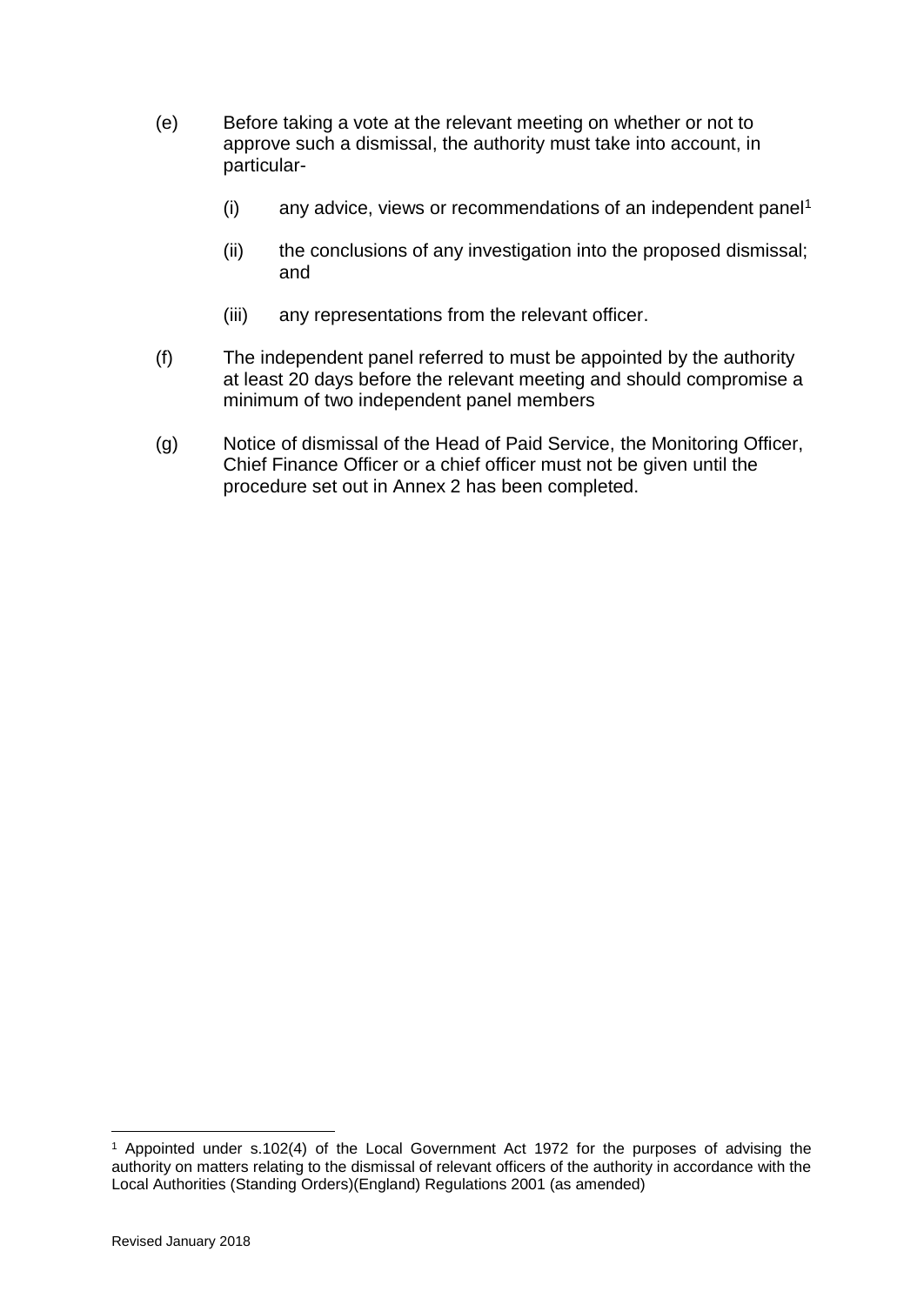- (e) Before taking a vote at the relevant meeting on whether or not to approve such a dismissal, the authority must take into account, in particular-
	- $(i)$  any advice, views or recommendations of an independent panel<sup>1</sup>
	- (ii) the conclusions of any investigation into the proposed dismissal; and
	- (iii) any representations from the relevant officer.
- (f) The independent panel referred to must be appointed by the authority at least 20 days before the relevant meeting and should compromise a minimum of two independent panel members
- (g) Notice of dismissal of the Head of Paid Service, the Monitoring Officer, Chief Finance Officer or a chief officer must not be given until the procedure set out in Annex 2 has been completed.

1

<sup>1</sup> Appointed under s.102(4) of the Local Government Act 1972 for the purposes of advising the authority on matters relating to the dismissal of relevant officers of the authority in accordance with the Local Authorities (Standing Orders)(England) Regulations 2001 (as amended)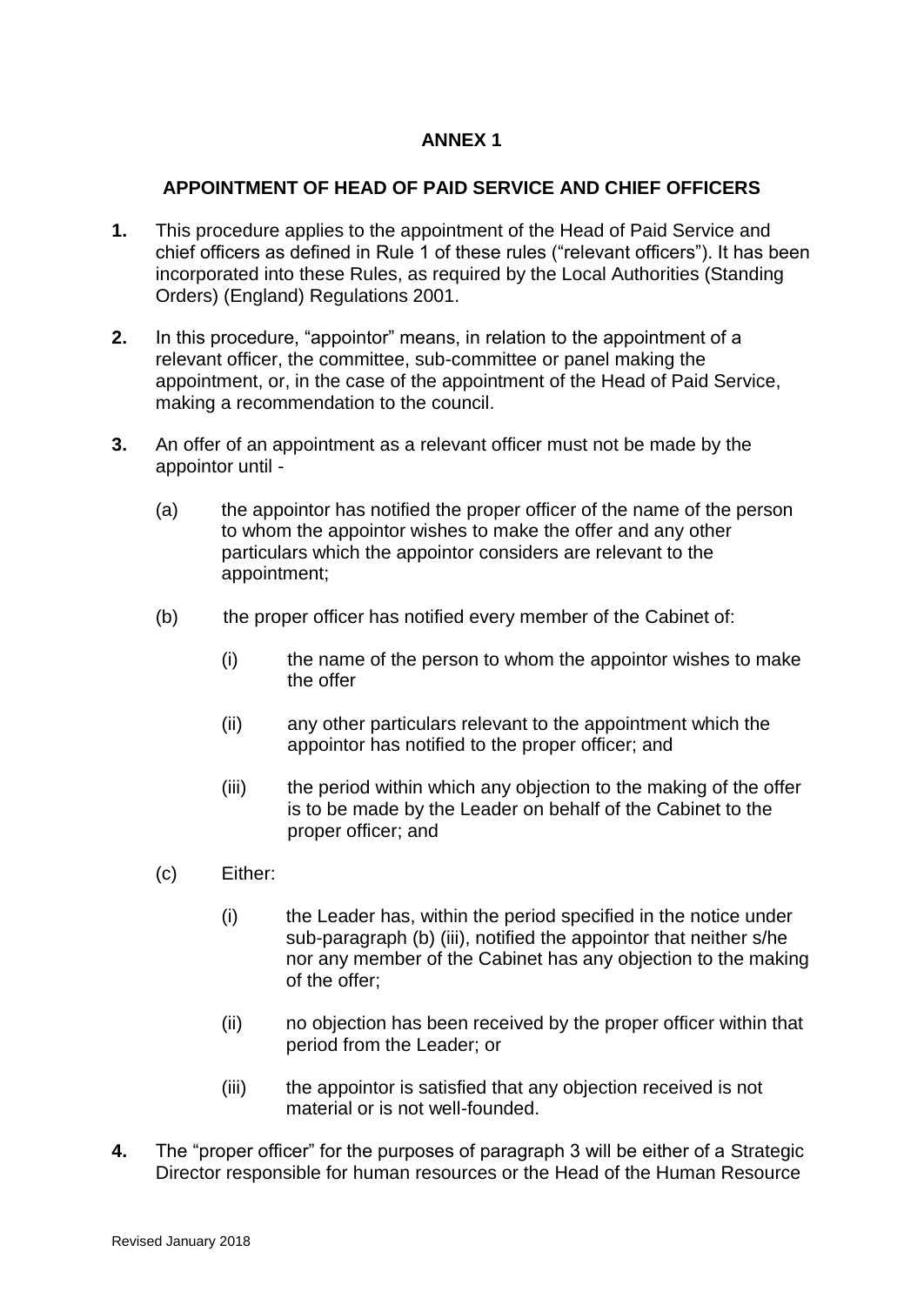# **ANNEX 1**

## **APPOINTMENT OF HEAD OF PAID SERVICE AND CHIEF OFFICERS**

- **1.** This procedure applies to the appointment of the Head of Paid Service and chief officers as defined in Rule 1 of these rules ("relevant officers"). It has been incorporated into these Rules, as required by the Local Authorities (Standing Orders) (England) Regulations 2001.
- **2.** In this procedure, "appointor" means, in relation to the appointment of a relevant officer, the committee, sub-committee or panel making the appointment, or, in the case of the appointment of the Head of Paid Service, making a recommendation to the council.
- **3.** An offer of an appointment as a relevant officer must not be made by the appointor until -
	- (a) the appointor has notified the proper officer of the name of the person to whom the appointor wishes to make the offer and any other particulars which the appointor considers are relevant to the appointment;
	- (b) the proper officer has notified every member of the Cabinet of:
		- (i) the name of the person to whom the appointor wishes to make the offer
		- (ii) any other particulars relevant to the appointment which the appointor has notified to the proper officer; and
		- (iii) the period within which any objection to the making of the offer is to be made by the Leader on behalf of the Cabinet to the proper officer; and
	- (c) Either:
		- (i) the Leader has, within the period specified in the notice under sub-paragraph (b) (iii), notified the appointor that neither s/he nor any member of the Cabinet has any objection to the making of the offer;
		- (ii) no objection has been received by the proper officer within that period from the Leader; or
		- (iii) the appointor is satisfied that any objection received is not material or is not well-founded.
- **4.** The "proper officer" for the purposes of paragraph 3 will be either of a Strategic Director responsible for human resources or the Head of the Human Resource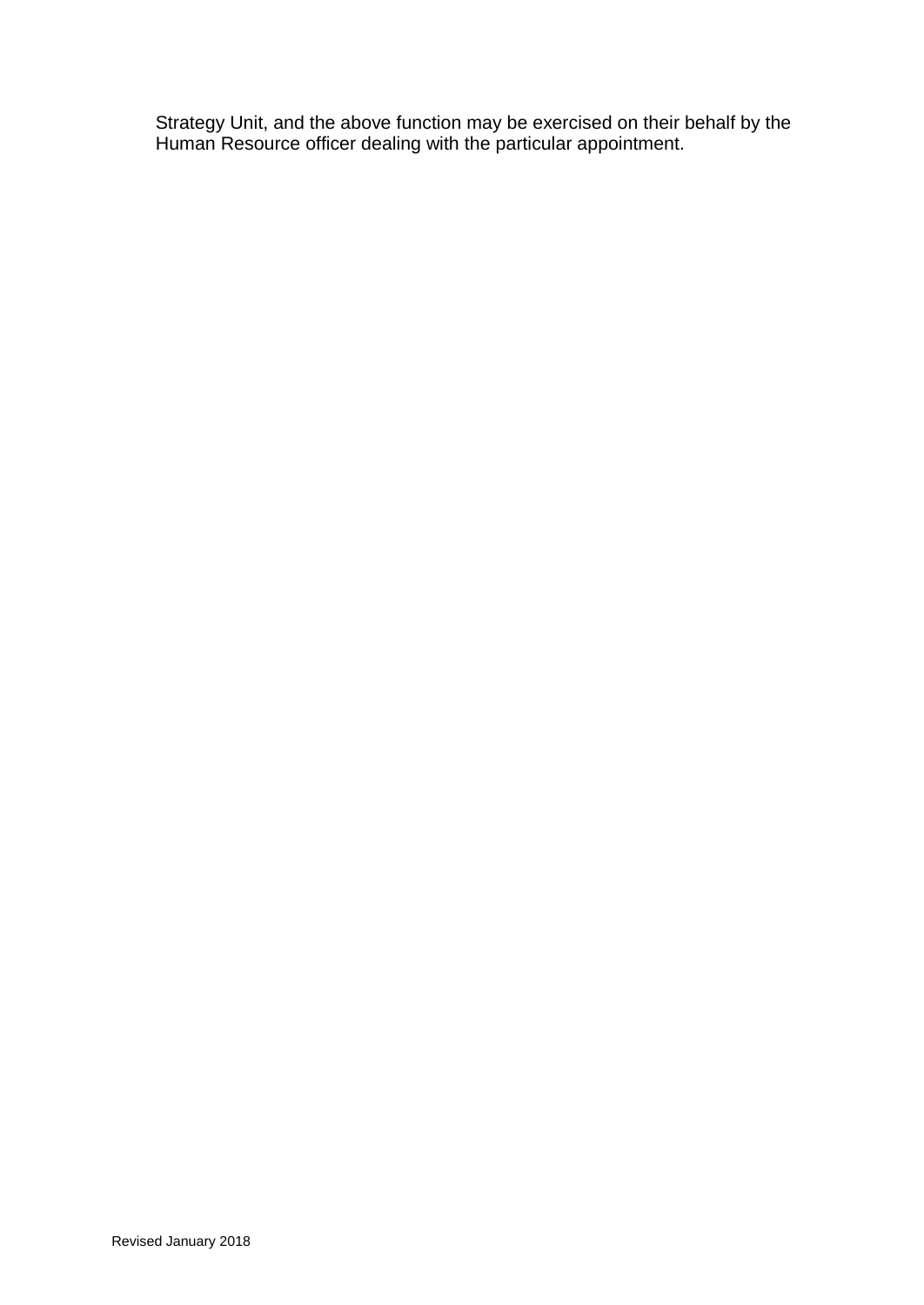Strategy Unit, and the above function may be exercised on their behalf by the Human Resource officer dealing with the particular appointment.